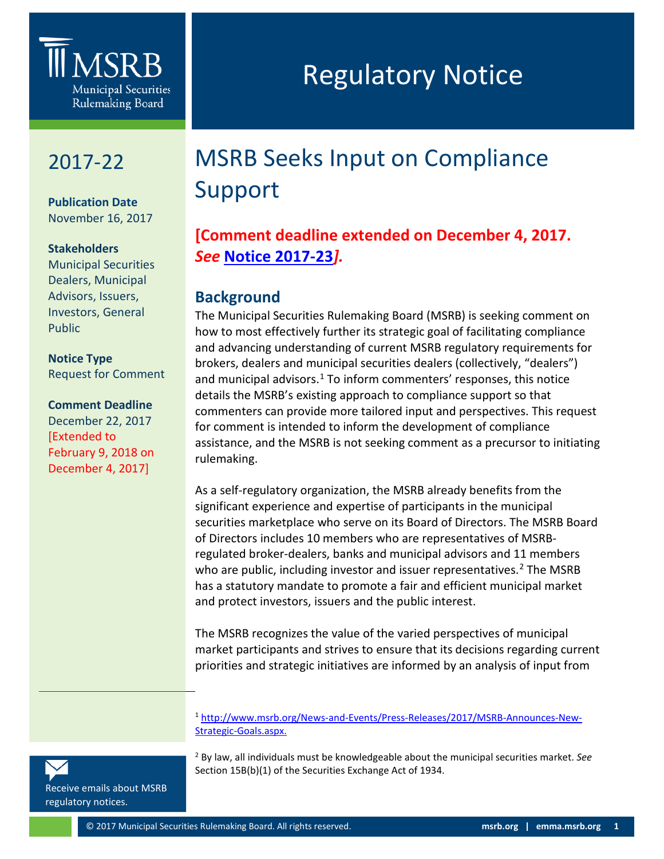

## 2017-22

**0** 

**Publication Date** November 16, 2017

## **Stakeholders**

Municipal Securities Dealers, Municipal Advisors, Issuers, Investors, General Public

**Notice Type** Request for Comment

## **Comment Deadline**

December 22, 2017 [Extended to February 9, 2018 on December 4, 2017]

# Regulatory Notice

## MSRB Seeks Input on Compliance Support

## **[Comment deadline extended on December 4, 2017.**  *See* **[Notice 2017-23](http://www.msrb.org/%7E/media/Files/Regulatory-Notices/Announcements/2017-23.ashx?n=1)***].*

## **Background**

The Municipal Securities Rulemaking Board (MSRB) is seeking comment on how to most effectively further its strategic goal of facilitating compliance and advancing understanding of current MSRB regulatory requirements for brokers, dealers and municipal securities dealers (collectively, "dealers") and municipal advisors. $1$  To inform commenters' responses, this notice details the MSRB's existing approach to compliance support so that commenters can provide more tailored input and perspectives. This request for comment is intended to inform the development of compliance assistance, and the MSRB is not seeking comment as a precursor to initiating rulemaking.

As a self-regulatory organization, the MSRB already benefits from the significant experience and expertise of participants in the municipal securities marketplace who serve on its Board of Directors. The MSRB Board of Directors includes 10 members who are representatives of MSRBregulated broker-dealers, banks and municipal advisors and 11 members who are public, including investor and issuer representatives.<sup>[2](#page-0-1)</sup> The MSRB has a statutory mandate to promote a fair and efficient municipal market and protect investors, issuers and the public interest.

The MSRB recognizes the value of the varied perspectives of municipal market participants and strives to ensure that its decisions regarding current priorities and strategic initiatives are informed by an analysis of input from

<sup>1</sup> [http://www.msrb.org/News-and-Events/Press-Releases/2017/MSRB-Announces-New-](http://www.msrb.org/News-and-Events/Press-Releases/2017/MSRB-Announces-New-Strategic-Goals.aspx)[Strategic-Goals.aspx.](http://www.msrb.org/News-and-Events/Press-Releases/2017/MSRB-Announces-New-Strategic-Goals.aspx)

<sup>2</sup> By law, all individuals must be knowledgeable about the municipal securities market. *See*  Section 15B(b)(1) of the Securities Exchange Act of 1934.

<span id="page-0-1"></span><span id="page-0-0"></span>[Receive emails about MSRB](https://public.govdelivery.com/accounts/VAORGMSRB/subscriber/new?topic_id=VAORGMSRB_9)  [regulatory notices.](https://public.govdelivery.com/accounts/VAORGMSRB/subscriber/new?topic_id=VAORGMSRB_9)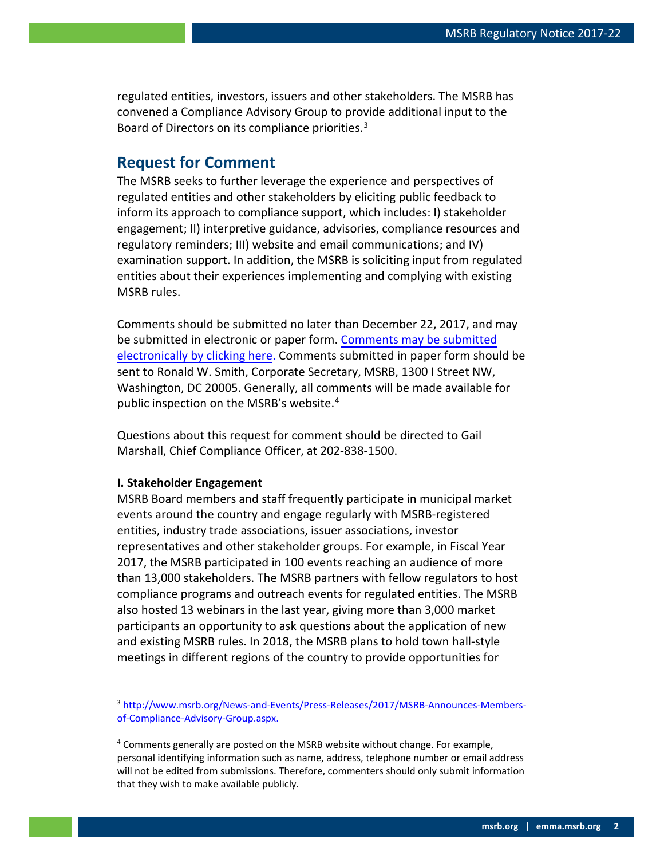regulated entities, investors, issuers and other stakeholders. The MSRB has convened a Compliance Advisory Group to provide additional input to the Board of Directors on its compliance priorities.<sup>[3](#page-1-0)</sup>

## **Request for Comment**

The MSRB seeks to further leverage the experience and perspectives of regulated entities and other stakeholders by eliciting public feedback to inform its approach to compliance support, which includes: I) stakeholder engagement; II) interpretive guidance, advisories, compliance resources and regulatory reminders; III) website and email communications; and IV) examination support. In addition, the MSRB is soliciting input from regulated entities about their experiences implementing and complying with existing MSRB rules.

Comments should be submitted no later than December 22, 2017, and may be submitted in electronic or paper form. [Comments may be submitted](http://www.msrb.org/Comment.aspx?notice=2017-22) [electronically by clicking](http://www.msrb.org/Comment.aspx?notice=2017-22) here. Comments submitted in paper form should be sent to Ronald W. Smith, Corporate Secretary, MSRB, 1300 I Street NW, Washington, DC 20005. Generally, all comments will be made available for public inspection on the MSRB's website.[4](#page-1-1)

Questions about this request for comment should be directed to Gail Marshall, Chief Compliance Officer, at 202-838-1500.

#### **I. Stakeholder Engagement**

MSRB Board members and staff frequently participate in municipal market events around the country and engage regularly with MSRB-registered entities, industry trade associations, issuer associations, investor representatives and other stakeholder groups. For example, in Fiscal Year 2017, the MSRB participated in 100 events reaching an audience of more than 13,000 stakeholders. The MSRB partners with fellow regulators to host compliance programs and outreach events for regulated entities. The MSRB also hosted 13 webinars in the last year, giving more than 3,000 market participants an opportunity to ask questions about the application of new and existing MSRB rules. In 2018, the MSRB plans to hold town hall-style meetings in different regions of the country to provide opportunities for

<span id="page-1-0"></span><sup>&</sup>lt;sup>3</sup> [http://www.msrb.org/News-and-Events/Press-Releases/2017/MSRB-Announces-Members](http://www.msrb.org/News-and-Events/Press-Releases/2017/MSRB-Announces-Members-of-Compliance-Advisory-Group.aspx)[of-Compliance-Advisory-Group.aspx.](http://www.msrb.org/News-and-Events/Press-Releases/2017/MSRB-Announces-Members-of-Compliance-Advisory-Group.aspx)

<span id="page-1-1"></span><sup>&</sup>lt;sup>4</sup> Comments generally are posted on the MSRB website without change. For example, personal identifying information such as name, address, telephone number or email address will not be edited from submissions. Therefore, commenters should only submit information that they wish to make available publicly.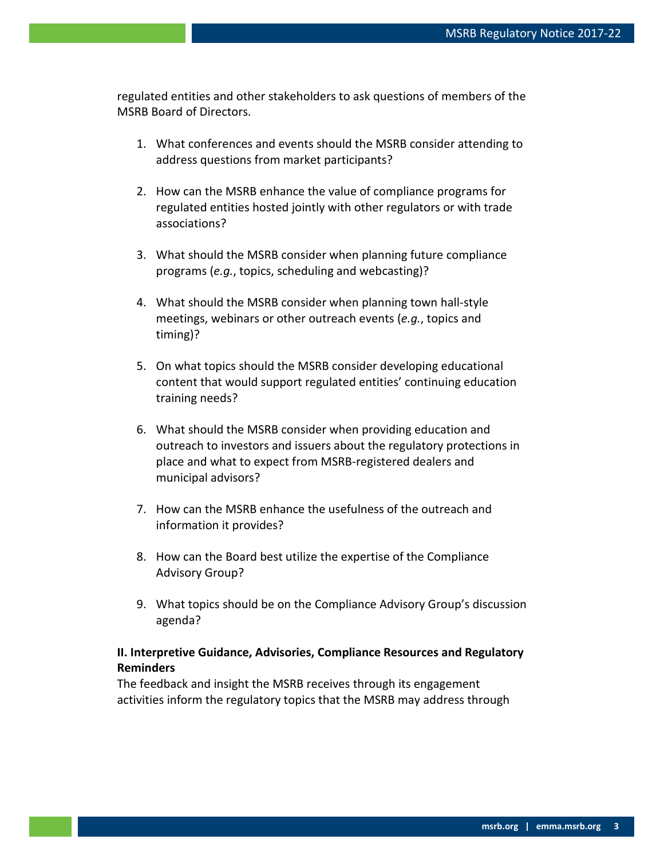regulated entities and other stakeholders to ask questions of members of the MSRB Board of Directors.

- 1. What conferences and events should the MSRB consider attending to address questions from market participants?
- 2. How can the MSRB enhance the value of compliance programs for regulated entities hosted jointly with other regulators or with trade associations?
- 3. What should the MSRB consider when planning future compliance programs (*e.g.*, topics, scheduling and webcasting)?
- 4. What should the MSRB consider when planning town hall-style meetings, webinars or other outreach events (*e.g.*, topics and timing)?
- 5. On what topics should the MSRB consider developing educational content that would support regulated entities' continuing education training needs?
- 6. What should the MSRB consider when providing education and outreach to investors and issuers about the regulatory protections in place and what to expect from MSRB-registered dealers and municipal advisors?
- 7. How can the MSRB enhance the usefulness of the outreach and information it provides?
- 8. How can the Board best utilize the expertise of the Compliance Advisory Group?
- 9. What topics should be on the Compliance Advisory Group's discussion agenda?

## **II. Interpretive Guidance, Advisories, Compliance Resources and Regulatory Reminders**

The feedback and insight the MSRB receives through its engagement activities inform the regulatory topics that the MSRB may address through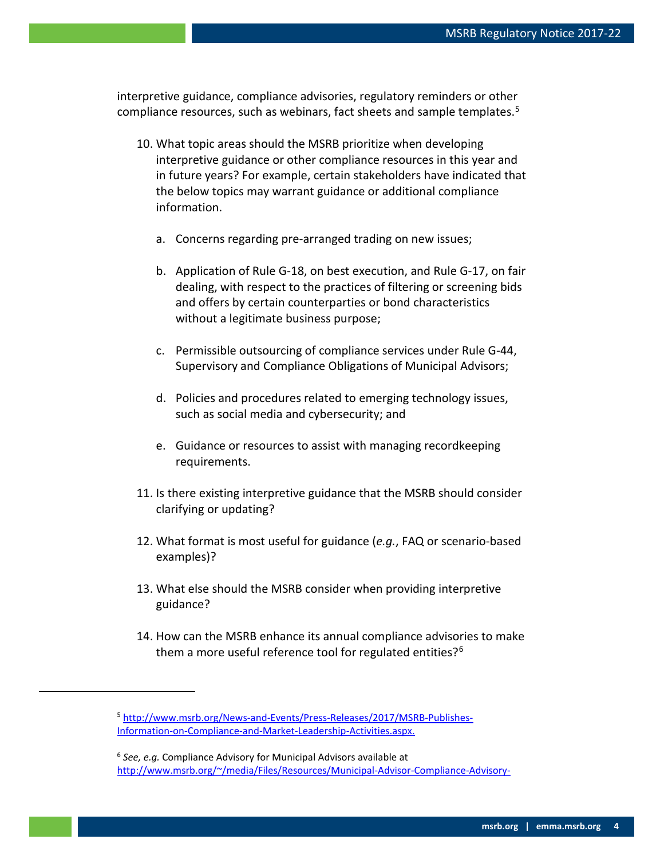interpretive guidance, compliance advisories, regulatory reminders or other compliance resources, such as webinars, fact sheets and sample templates. [5](#page-3-0)

- 10. What topic areas should the MSRB prioritize when developing interpretive guidance or other compliance resources in this year and in future years? For example, certain stakeholders have indicated that the below topics may warrant guidance or additional compliance information.
	- a. Concerns regarding pre-arranged trading on new issues;
	- b. Application of Rule G-18, on best execution, and Rule G-17, on fair dealing, with respect to the practices of filtering or screening bids and offers by certain counterparties or bond characteristics without a legitimate business purpose;
	- c. Permissible outsourcing of compliance services under Rule G-44, Supervisory and Compliance Obligations of Municipal Advisors;
	- d. Policies and procedures related to emerging technology issues, such as social media and cybersecurity; and
	- e. Guidance or resources to assist with managing recordkeeping requirements.
- 11. Is there existing interpretive guidance that the MSRB should consider clarifying or updating?
- 12. What format is most useful for guidance (*e.g.*, FAQ or scenario-based examples)?
- 13. What else should the MSRB consider when providing interpretive guidance?
- 14. How can the MSRB enhance its annual compliance advisories to make them a more useful reference tool for regulated entities?<sup>[6](#page-3-1)</sup>

<span id="page-3-1"></span><span id="page-3-0"></span> $\overline{a}$ 

<sup>5</sup> [http://www.msrb.org/News-and-Events/Press-Releases/2017/MSRB-Publishes-](http://www.msrb.org/News-and-Events/Press-Releases/2017/MSRB-Publishes-Information-on-Compliance-and-Market-Leadership-Activities.aspx)[Information-on-Compliance-and-Market-Leadership-Activities.aspx.](http://www.msrb.org/News-and-Events/Press-Releases/2017/MSRB-Publishes-Information-on-Compliance-and-Market-Leadership-Activities.aspx)

<sup>6</sup> *See, e.g.* Compliance Advisory for Municipal Advisors available at [http://www.msrb.org/~/media/Files/Resources/Municipal-Advisor-Compliance-Advisory-](http://www.msrb.org/%7E/media/Files/Resources/Municipal-Advisor-Compliance-Advisory-June-2017.ashx)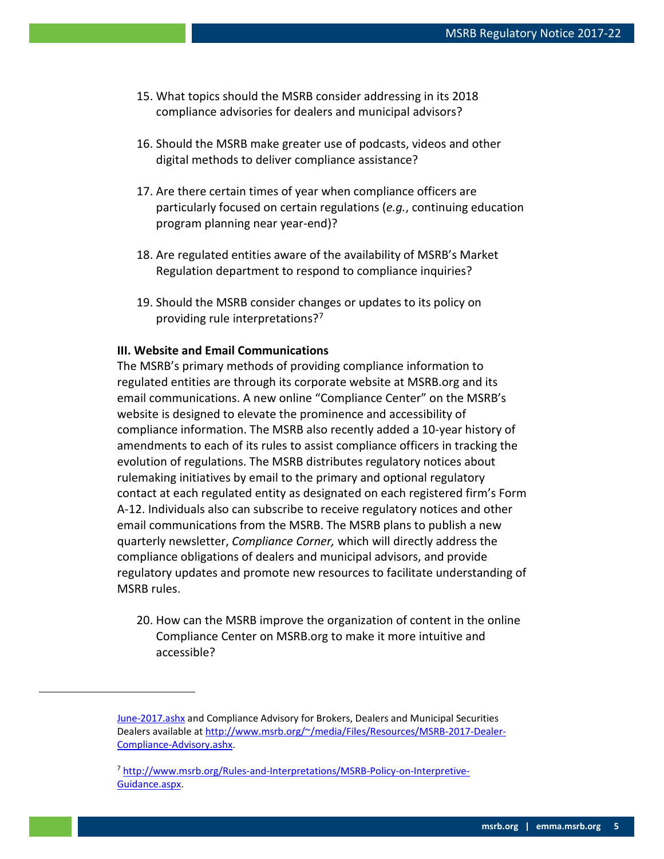- 15. What topics should the MSRB consider addressing in its 2018 compliance advisories for dealers and municipal advisors?
- 16. Should the MSRB make greater use of podcasts, videos and other digital methods to deliver compliance assistance?
- 17. Are there certain times of year when compliance officers are particularly focused on certain regulations (*e.g.*, continuing education program planning near year-end)?
- 18. Are regulated entities aware of the availability of MSRB's Market Regulation department to respond to compliance inquiries?
- 19. Should the MSRB consider changes or updates to its policy on providing rule interpretations?<sup>[7](#page-4-0)</sup>

### **III. Website and Email Communications**

<span id="page-4-0"></span> $\overline{a}$ 

The MSRB's primary methods of providing compliance information to regulated entities are through its corporate website at MSRB.org and its email communications. A new online "Compliance Center" on the MSRB's website is designed to elevate the prominence and accessibility of compliance information. The MSRB also recently added a 10-year history of amendments to each of its rules to assist compliance officers in tracking the evolution of regulations. The MSRB distributes regulatory notices about rulemaking initiatives by email to the primary and optional regulatory contact at each regulated entity as designated on each registered firm's Form A-12. Individuals also can subscribe to receive regulatory notices and other email communications from the MSRB. The MSRB plans to publish a new quarterly newsletter, *Compliance Corner,* which will directly address the compliance obligations of dealers and municipal advisors, and provide regulatory updates and promote new resources to facilitate understanding of MSRB rules.

20. How can the MSRB improve the organization of content in the online Compliance Center on MSRB.org to make it more intuitive and accessible?

[June-2017.ashx](http://www.msrb.org/%7E/media/Files/Resources/Municipal-Advisor-Compliance-Advisory-June-2017.ashx) and Compliance Advisory for Brokers, Dealers and Municipal Securities Dealers available a[t http://www.msrb.org/~/media/Files/Resources/MSRB-2017-Dealer-](http://www.msrb.org/%7E/media/Files/Resources/MSRB-2017-Dealer-Compliance-Advisory.ashx)[Compliance-Advisory.ashx.](http://www.msrb.org/%7E/media/Files/Resources/MSRB-2017-Dealer-Compliance-Advisory.ashx)

<sup>7</sup> [http://www.msrb.org/Rules-and-Interpretations/MSRB-Policy-on-Interpretive-](http://www.msrb.org/Rules-and-Interpretations/MSRB-Policy-on-Interpretive-Guidance.aspx)[Guidance.aspx.](http://www.msrb.org/Rules-and-Interpretations/MSRB-Policy-on-Interpretive-Guidance.aspx)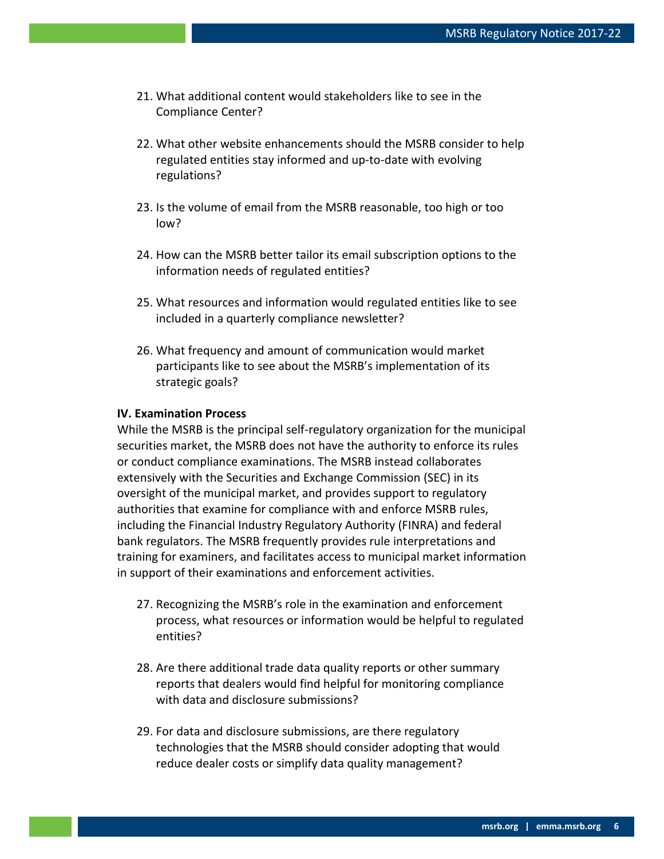- 21. What additional content would stakeholders like to see in the Compliance Center?
- 22. What other website enhancements should the MSRB consider to help regulated entities stay informed and up-to-date with evolving regulations?
- 23. Is the volume of email from the MSRB reasonable, too high or too low?
- 24. How can the MSRB better tailor its email subscription options to the information needs of regulated entities?
- 25. What resources and information would regulated entities like to see included in a quarterly compliance newsletter?
- 26. What frequency and amount of communication would market participants like to see about the MSRB's implementation of its strategic goals?

#### **IV. Examination Process**

While the MSRB is the principal self-regulatory organization for the municipal securities market, the MSRB does not have the authority to enforce its rules or conduct compliance examinations. The MSRB instead collaborates extensively with the Securities and Exchange Commission (SEC) in its oversight of the municipal market, and provides support to regulatory authorities that examine for compliance with and enforce MSRB rules, including the Financial Industry Regulatory Authority (FINRA) and federal bank regulators. The MSRB frequently provides rule interpretations and training for examiners, and facilitates access to municipal market information in support of their examinations and enforcement activities.

- 27. Recognizing the MSRB's role in the examination and enforcement process, what resources or information would be helpful to regulated entities?
- 28. Are there additional trade data quality reports or other summary reports that dealers would find helpful for monitoring compliance with data and disclosure submissions?
- 29. For data and disclosure submissions, are there regulatory technologies that the MSRB should consider adopting that would reduce dealer costs or simplify data quality management?